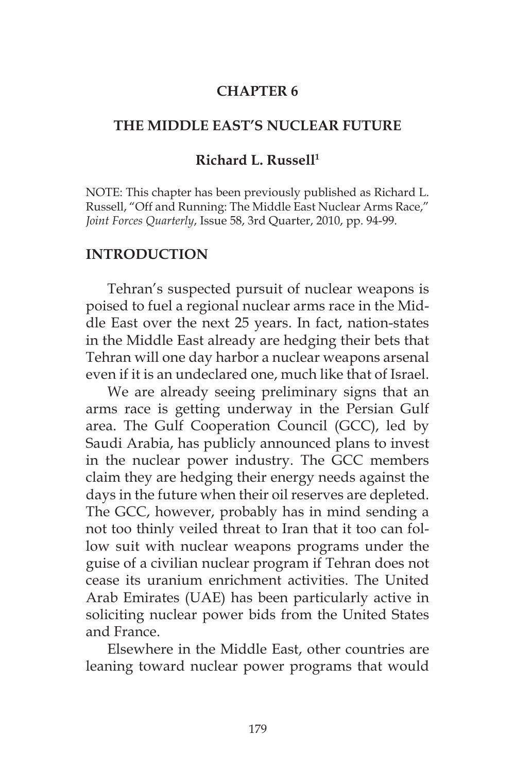### **CHAPTER 6**

#### **THE MIDDLE EAST'S NUCLEAR FUTURE**

#### **Richard L. Russell1**

NOTE: This chapter has been previously published as Richard L. Russell, "Off and Running: The Middle East Nuclear Arms Race," *Joint Forces Quarterly*, Issue 58, 3rd Quarter, 2010, pp. 94-99.

#### **INTRODUCTION**

Tehran's suspected pursuit of nuclear weapons is poised to fuel a regional nuclear arms race in the Middle East over the next 25 years. In fact, nation-states in the Middle East already are hedging their bets that Tehran will one day harbor a nuclear weapons arsenal even if it is an undeclared one, much like that of Israel.

We are already seeing preliminary signs that an arms race is getting underway in the Persian Gulf area. The Gulf Cooperation Council (GCC), led by Saudi Arabia, has publicly announced plans to invest in the nuclear power industry. The GCC members claim they are hedging their energy needs against the days in the future when their oil reserves are depleted. The GCC, however, probably has in mind sending a not too thinly veiled threat to Iran that it too can follow suit with nuclear weapons programs under the guise of a civilian nuclear program if Tehran does not cease its uranium enrichment activities. The United Arab Emirates (UAE) has been particularly active in soliciting nuclear power bids from the United States and France.

Elsewhere in the Middle East, other countries are leaning toward nuclear power programs that would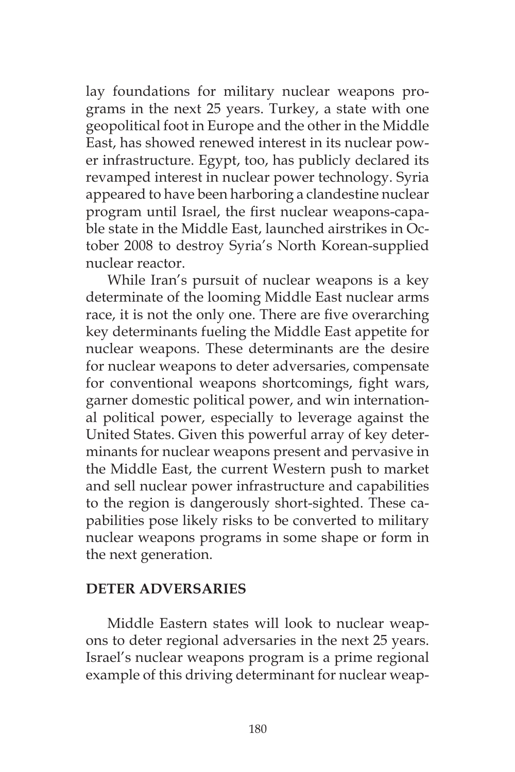lay foundations for military nuclear weapons programs in the next 25 years. Turkey, a state with one geopolitical foot in Europe and the other in the Middle East, has showed renewed interest in its nuclear power infrastructure. Egypt, too, has publicly declared its revamped interest in nuclear power technology. Syria appeared to have been harboring a clandestine nuclear program until Israel, the first nuclear weapons-capable state in the Middle East, launched airstrikes in October 2008 to destroy Syria's North Korean-supplied nuclear reactor.

While Iran's pursuit of nuclear weapons is a key determinate of the looming Middle East nuclear arms race, it is not the only one. There are five overarching key determinants fueling the Middle East appetite for nuclear weapons. These determinants are the desire for nuclear weapons to deter adversaries, compensate for conventional weapons shortcomings, fight wars, garner domestic political power, and win international political power, especially to leverage against the United States. Given this powerful array of key determinants for nuclear weapons present and pervasive in the Middle East, the current Western push to market and sell nuclear power infrastructure and capabilities to the region is dangerously short-sighted. These capabilities pose likely risks to be converted to military nuclear weapons programs in some shape or form in the next generation.

### **DETER ADVERSARIES**

Middle Eastern states will look to nuclear weapons to deter regional adversaries in the next 25 years. Israel's nuclear weapons program is a prime regional example of this driving determinant for nuclear weap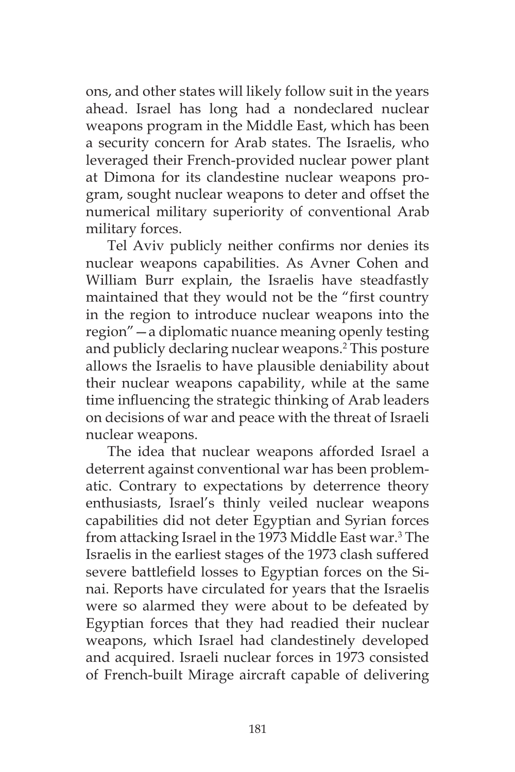ons, and other states will likely follow suit in the years ahead. Israel has long had a nondeclared nuclear weapons program in the Middle East, which has been a security concern for Arab states. The Israelis, who leveraged their French-provided nuclear power plant at Dimona for its clandestine nuclear weapons program, sought nuclear weapons to deter and offset the numerical military superiority of conventional Arab military forces.

Tel Aviv publicly neither confirms nor denies its nuclear weapons capabilities. As Avner Cohen and William Burr explain, the Israelis have steadfastly maintained that they would not be the "first country in the region to introduce nuclear weapons into the region"—a diplomatic nuance meaning openly testing and publicly declaring nuclear weapons.<sup>2</sup> This posture allows the Israelis to have plausible deniability about their nuclear weapons capability, while at the same time influencing the strategic thinking of Arab leaders on decisions of war and peace with the threat of Israeli nuclear weapons.

The idea that nuclear weapons afforded Israel a deterrent against conventional war has been problematic. Contrary to expectations by deterrence theory enthusiasts, Israel's thinly veiled nuclear weapons capabilities did not deter Egyptian and Syrian forces from attacking Israel in the 1973 Middle East war.<sup>3</sup> The Israelis in the earliest stages of the 1973 clash suffered severe battlefield losses to Egyptian forces on the Sinai. Reports have circulated for years that the Israelis were so alarmed they were about to be defeated by Egyptian forces that they had readied their nuclear weapons, which Israel had clandestinely developed and acquired. Israeli nuclear forces in 1973 consisted of French-built Mirage aircraft capable of delivering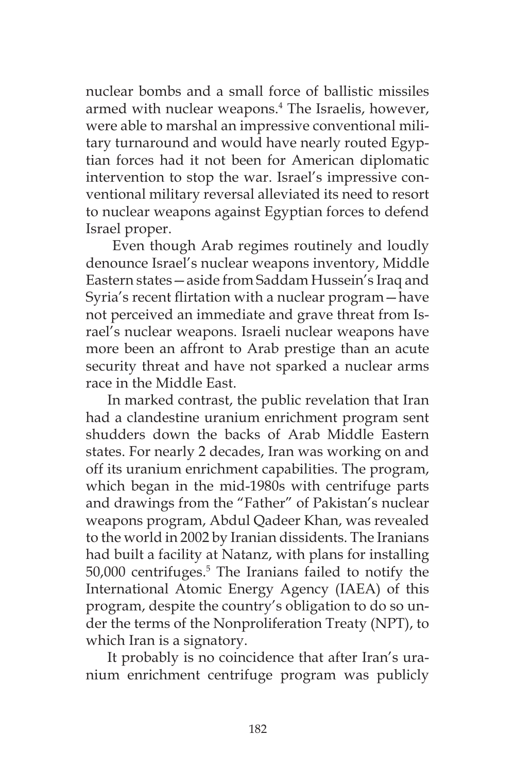nuclear bombs and a small force of ballistic missiles armed with nuclear weapons.4 The Israelis, however, were able to marshal an impressive conventional military turnaround and would have nearly routed Egyptian forces had it not been for American diplomatic intervention to stop the war. Israel's impressive conventional military reversal alleviated its need to resort to nuclear weapons against Egyptian forces to defend Israel proper.

 Even though Arab regimes routinely and loudly denounce Israel's nuclear weapons inventory, Middle Eastern states—aside from Saddam Hussein's Iraq and Syria's recent flirtation with a nuclear program—have not perceived an immediate and grave threat from Israel's nuclear weapons. Israeli nuclear weapons have more been an affront to Arab prestige than an acute security threat and have not sparked a nuclear arms race in the Middle East.

In marked contrast, the public revelation that Iran had a clandestine uranium enrichment program sent shudders down the backs of Arab Middle Eastern states. For nearly 2 decades, Iran was working on and off its uranium enrichment capabilities. The program, which began in the mid-1980s with centrifuge parts and drawings from the "Father" of Pakistan's nuclear weapons program, Abdul Qadeer Khan, was revealed to the world in 2002 by Iranian dissidents. The Iranians had built a facility at Natanz, with plans for installing 50,000 centrifuges.<sup>5</sup> The Iranians failed to notify the International Atomic Energy Agency (IAEA) of this program, despite the country's obligation to do so under the terms of the Nonproliferation Treaty (NPT), to which Iran is a signatory.

It probably is no coincidence that after Iran's uranium enrichment centrifuge program was publicly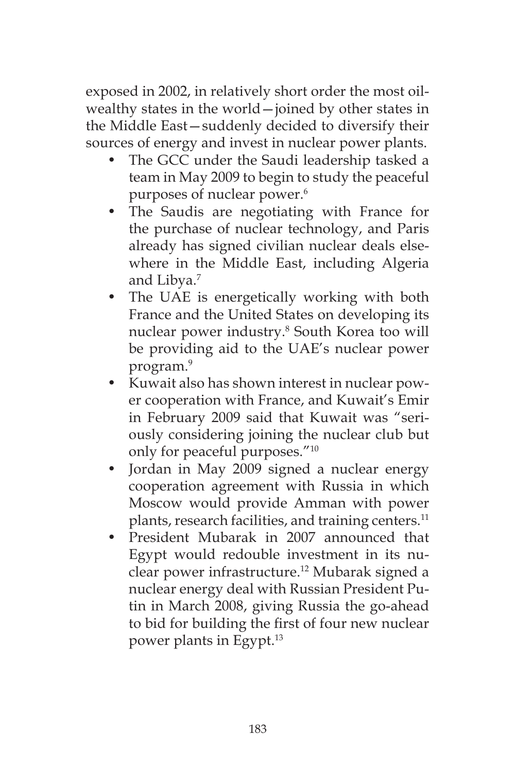exposed in 2002, in relatively short order the most oilwealthy states in the world—joined by other states in the Middle East—suddenly decided to diversify their sources of energy and invest in nuclear power plants.

- The GCC under the Saudi leadership tasked a team in May 2009 to begin to study the peaceful purposes of nuclear power.<sup>6</sup>
- The Saudis are negotiating with France for the purchase of nuclear technology, and Paris already has signed civilian nuclear deals elsewhere in the Middle East, including Algeria and Libya.7
- The UAE is energetically working with both France and the United States on developing its nuclear power industry.<sup>8</sup> South Korea too will be providing aid to the UAE's nuclear power program.9
- Kuwait also has shown interest in nuclear power cooperation with France, and Kuwait's Emir in February 2009 said that Kuwait was "seriously considering joining the nuclear club but only for peaceful purposes."10
- Jordan in May 2009 signed a nuclear energy cooperation agreement with Russia in which Moscow would provide Amman with power plants, research facilities, and training centers.<sup>11</sup>
- President Mubarak in 2007 announced that Egypt would redouble investment in its nuclear power infrastructure.12 Mubarak signed a nuclear energy deal with Russian President Putin in March 2008, giving Russia the go-ahead to bid for building the first of four new nuclear power plants in Egypt.<sup>13</sup>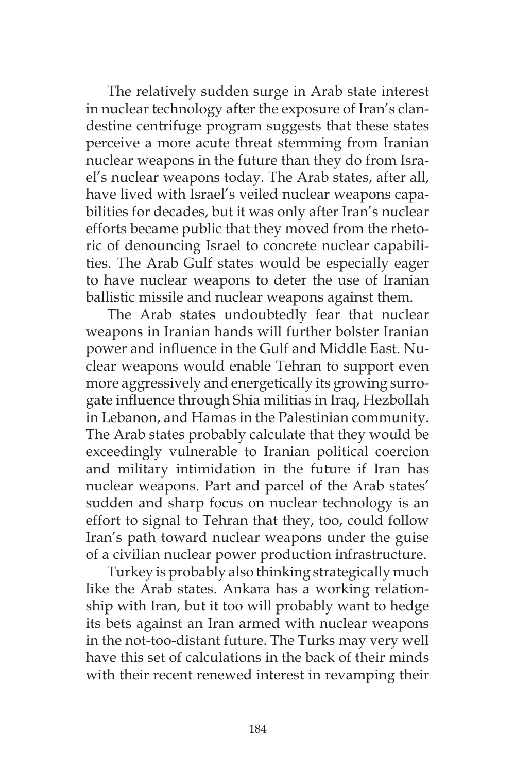The relatively sudden surge in Arab state interest in nuclear technology after the exposure of Iran's clandestine centrifuge program suggests that these states perceive a more acute threat stemming from Iranian nuclear weapons in the future than they do from Israel's nuclear weapons today. The Arab states, after all, have lived with Israel's veiled nuclear weapons capabilities for decades, but it was only after Iran's nuclear efforts became public that they moved from the rhetoric of denouncing Israel to concrete nuclear capabilities. The Arab Gulf states would be especially eager to have nuclear weapons to deter the use of Iranian ballistic missile and nuclear weapons against them.

The Arab states undoubtedly fear that nuclear weapons in Iranian hands will further bolster Iranian power and influence in the Gulf and Middle East. Nuclear weapons would enable Tehran to support even more aggressively and energetically its growing surrogate influence through Shia militias in Iraq, Hezbollah in Lebanon, and Hamas in the Palestinian community. The Arab states probably calculate that they would be exceedingly vulnerable to Iranian political coercion and military intimidation in the future if Iran has nuclear weapons. Part and parcel of the Arab states' sudden and sharp focus on nuclear technology is an effort to signal to Tehran that they, too, could follow Iran's path toward nuclear weapons under the guise of a civilian nuclear power production infrastructure.

Turkey is probably also thinking strategically much like the Arab states. Ankara has a working relationship with Iran, but it too will probably want to hedge its bets against an Iran armed with nuclear weapons in the not-too-distant future. The Turks may very well have this set of calculations in the back of their minds with their recent renewed interest in revamping their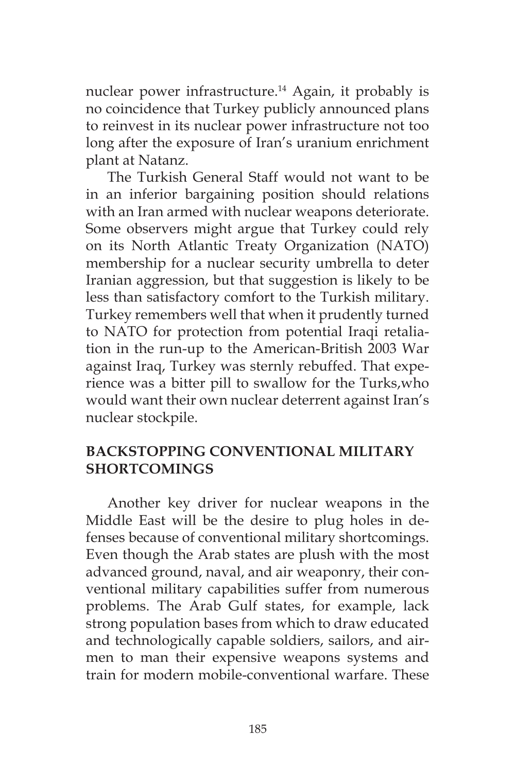nuclear power infrastructure.<sup>14</sup> Again, it probably is no coincidence that Turkey publicly announced plans to reinvest in its nuclear power infrastructure not too long after the exposure of Iran's uranium enrichment plant at Natanz.

The Turkish General Staff would not want to be in an inferior bargaining position should relations with an Iran armed with nuclear weapons deteriorate. Some observers might argue that Turkey could rely on its North Atlantic Treaty Organization (NATO) membership for a nuclear security umbrella to deter Iranian aggression, but that suggestion is likely to be less than satisfactory comfort to the Turkish military. Turkey remembers well that when it prudently turned to NATO for protection from potential Iraqi retaliation in the run-up to the American-British 2003 War against Iraq, Turkey was sternly rebuffed. That experience was a bitter pill to swallow for the Turks,who would want their own nuclear deterrent against Iran's nuclear stockpile.

## **BACKSTOPPING CONVENTIONAL MILITARY SHORTCOMINGS**

Another key driver for nuclear weapons in the Middle East will be the desire to plug holes in defenses because of conventional military shortcomings. Even though the Arab states are plush with the most advanced ground, naval, and air weaponry, their conventional military capabilities suffer from numerous problems. The Arab Gulf states, for example, lack strong population bases from which to draw educated and technologically capable soldiers, sailors, and airmen to man their expensive weapons systems and train for modern mobile-conventional warfare. These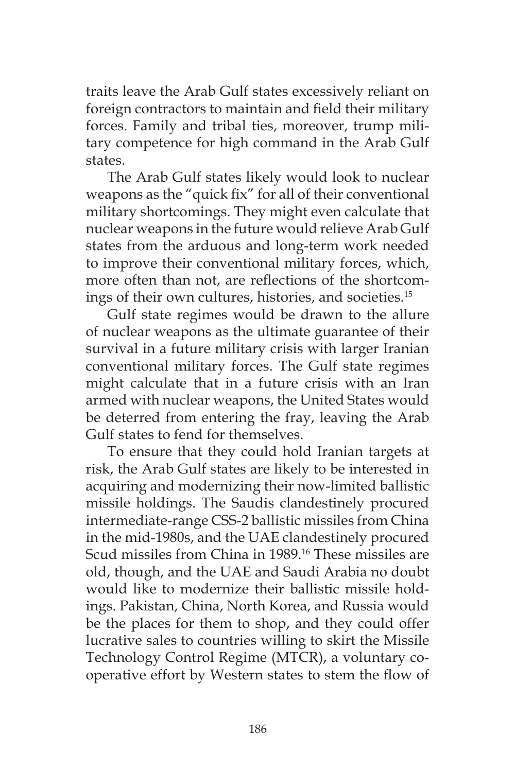traits leave the Arab Gulf states excessively reliant on foreign contractors to maintain and field their military forces. Family and tribal ties, moreover, trump military competence for high command in the Arab Gulf states.

The Arab Gulf states likely would look to nuclear weapons as the "quick fix" for all of their conventional military shortcomings. They might even calculate that nuclear weapons in the future would relieve Arab Gulf states from the arduous and long-term work needed to improve their conventional military forces, which, more often than not, are reflections of the shortcomings of their own cultures, histories, and societies.15

Gulf state regimes would be drawn to the allure of nuclear weapons as the ultimate guarantee of their survival in a future military crisis with larger Iranian conventional military forces. The Gulf state regimes might calculate that in a future crisis with an Iran armed with nuclear weapons, the United States would be deterred from entering the fray, leaving the Arab Gulf states to fend for themselves.

To ensure that they could hold Iranian targets at risk, the Arab Gulf states are likely to be interested in acquiring and modernizing their now-limited ballistic missile holdings. The Saudis clandestinely procured intermediate-range CSS-2 ballistic missiles from China in the mid-1980s, and the UAE clandestinely procured Scud missiles from China in 1989.<sup>16</sup> These missiles are old, though, and the UAE and Saudi Arabia no doubt would like to modernize their ballistic missile holdings. Pakistan, China, North Korea, and Russia would be the places for them to shop, and they could offer lucrative sales to countries willing to skirt the Missile Technology Control Regime (MTCR), a voluntary cooperative effort by Western states to stem the flow of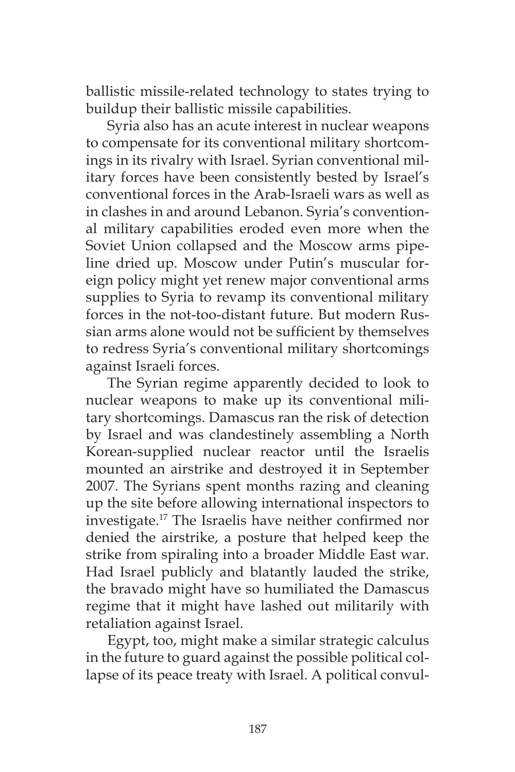ballistic missile-related technology to states trying to buildup their ballistic missile capabilities.

Syria also has an acute interest in nuclear weapons to compensate for its conventional military shortcomings in its rivalry with Israel. Syrian conventional military forces have been consistently bested by Israel's conventional forces in the Arab-Israeli wars as well as in clashes in and around Lebanon. Syria's conventional military capabilities eroded even more when the Soviet Union collapsed and the Moscow arms pipeline dried up. Moscow under Putin's muscular foreign policy might yet renew major conventional arms supplies to Syria to revamp its conventional military forces in the not-too-distant future. But modern Russian arms alone would not be sufficient by themselves to redress Syria's conventional military shortcomings against Israeli forces.

The Syrian regime apparently decided to look to nuclear weapons to make up its conventional military shortcomings. Damascus ran the risk of detection by Israel and was clandestinely assembling a North Korean-supplied nuclear reactor until the Israelis mounted an airstrike and destroyed it in September 2007. The Syrians spent months razing and cleaning up the site before allowing international inspectors to investigate.17 The Israelis have neither confirmed nor denied the airstrike, a posture that helped keep the strike from spiraling into a broader Middle East war. Had Israel publicly and blatantly lauded the strike, the bravado might have so humiliated the Damascus regime that it might have lashed out militarily with retaliation against Israel.

Egypt, too, might make a similar strategic calculus in the future to guard against the possible political collapse of its peace treaty with Israel. A political convul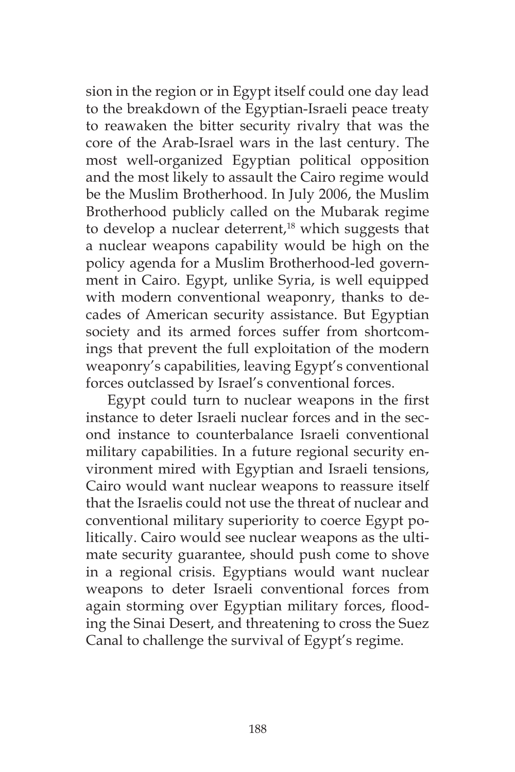sion in the region or in Egypt itself could one day lead to the breakdown of the Egyptian-Israeli peace treaty to reawaken the bitter security rivalry that was the core of the Arab-Israel wars in the last century. The most well-organized Egyptian political opposition and the most likely to assault the Cairo regime would be the Muslim Brotherhood. In July 2006, the Muslim Brotherhood publicly called on the Mubarak regime to develop a nuclear deterrent, $18$  which suggests that a nuclear weapons capability would be high on the policy agenda for a Muslim Brotherhood-led government in Cairo. Egypt, unlike Syria, is well equipped with modern conventional weaponry, thanks to decades of American security assistance. But Egyptian society and its armed forces suffer from shortcomings that prevent the full exploitation of the modern weaponry's capabilities, leaving Egypt's conventional forces outclassed by Israel's conventional forces.

Egypt could turn to nuclear weapons in the first instance to deter Israeli nuclear forces and in the second instance to counterbalance Israeli conventional military capabilities. In a future regional security environment mired with Egyptian and Israeli tensions, Cairo would want nuclear weapons to reassure itself that the Israelis could not use the threat of nuclear and conventional military superiority to coerce Egypt politically. Cairo would see nuclear weapons as the ultimate security guarantee, should push come to shove in a regional crisis. Egyptians would want nuclear weapons to deter Israeli conventional forces from again storming over Egyptian military forces, flooding the Sinai Desert, and threatening to cross the Suez Canal to challenge the survival of Egypt's regime.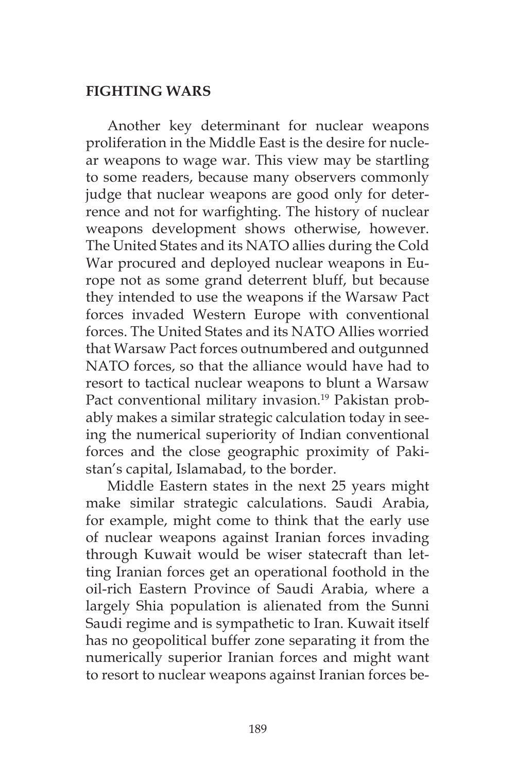## **FIGHTING WARS**

Another key determinant for nuclear weapons proliferation in the Middle East is the desire for nuclear weapons to wage war. This view may be startling to some readers, because many observers commonly judge that nuclear weapons are good only for deterrence and not for warfighting. The history of nuclear weapons development shows otherwise, however. The United States and its NATO allies during the Cold War procured and deployed nuclear weapons in Europe not as some grand deterrent bluff, but because they intended to use the weapons if the Warsaw Pact forces invaded Western Europe with conventional forces. The United States and its NATO Allies worried that Warsaw Pact forces outnumbered and outgunned NATO forces, so that the alliance would have had to resort to tactical nuclear weapons to blunt a Warsaw Pact conventional military invasion.<sup>19</sup> Pakistan probably makes a similar strategic calculation today in seeing the numerical superiority of Indian conventional forces and the close geographic proximity of Pakistan's capital, Islamabad, to the border.

Middle Eastern states in the next 25 years might make similar strategic calculations. Saudi Arabia, for example, might come to think that the early use of nuclear weapons against Iranian forces invading through Kuwait would be wiser statecraft than letting Iranian forces get an operational foothold in the oil-rich Eastern Province of Saudi Arabia, where a largely Shia population is alienated from the Sunni Saudi regime and is sympathetic to Iran. Kuwait itself has no geopolitical buffer zone separating it from the numerically superior Iranian forces and might want to resort to nuclear weapons against Iranian forces be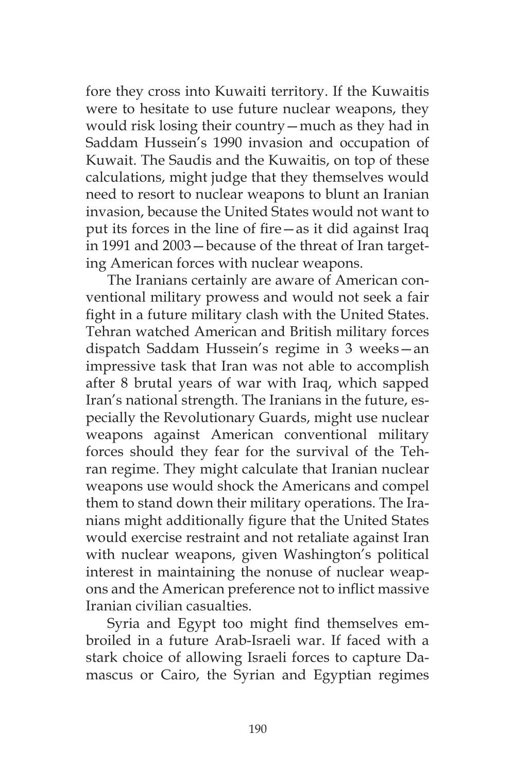fore they cross into Kuwaiti territory. If the Kuwaitis were to hesitate to use future nuclear weapons, they would risk losing their country—much as they had in Saddam Hussein's 1990 invasion and occupation of Kuwait. The Saudis and the Kuwaitis, on top of these calculations, might judge that they themselves would need to resort to nuclear weapons to blunt an Iranian invasion, because the United States would not want to put its forces in the line of fire—as it did against Iraq in 1991 and 2003—because of the threat of Iran targeting American forces with nuclear weapons.

The Iranians certainly are aware of American conventional military prowess and would not seek a fair fight in a future military clash with the United States. Tehran watched American and British military forces dispatch Saddam Hussein's regime in 3 weeks—an impressive task that Iran was not able to accomplish after 8 brutal years of war with Iraq, which sapped Iran's national strength. The Iranians in the future, especially the Revolutionary Guards, might use nuclear weapons against American conventional military forces should they fear for the survival of the Tehran regime. They might calculate that Iranian nuclear weapons use would shock the Americans and compel them to stand down their military operations. The Iranians might additionally figure that the United States would exercise restraint and not retaliate against Iran with nuclear weapons, given Washington's political interest in maintaining the nonuse of nuclear weapons and the American preference not to inflict massive Iranian civilian casualties.

Syria and Egypt too might find themselves embroiled in a future Arab-Israeli war. If faced with a stark choice of allowing Israeli forces to capture Damascus or Cairo, the Syrian and Egyptian regimes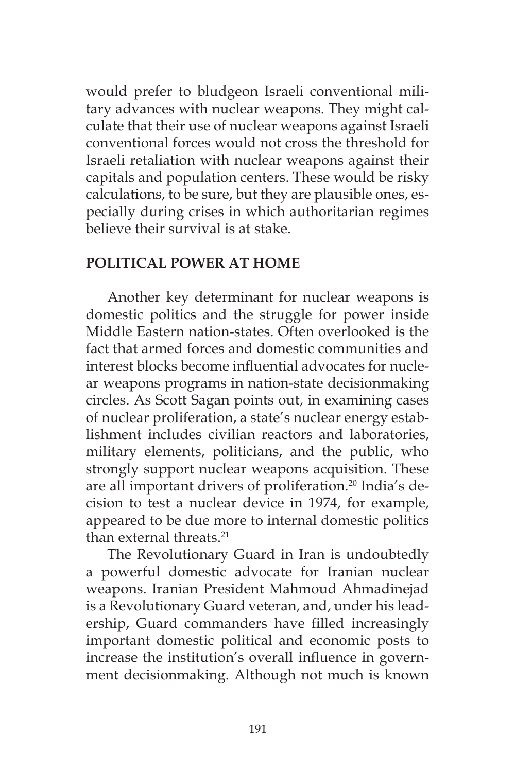would prefer to bludgeon Israeli conventional military advances with nuclear weapons. They might calculate that their use of nuclear weapons against Israeli conventional forces would not cross the threshold for Israeli retaliation with nuclear weapons against their capitals and population centers. These would be risky calculations, to be sure, but they are plausible ones, especially during crises in which authoritarian regimes believe their survival is at stake.

### **POLITICAL POWER AT HOME**

Another key determinant for nuclear weapons is domestic politics and the struggle for power inside Middle Eastern nation-states. Often overlooked is the fact that armed forces and domestic communities and interest blocks become influential advocates for nuclear weapons programs in nation-state decisionmaking circles. As Scott Sagan points out, in examining cases of nuclear proliferation, a state's nuclear energy establishment includes civilian reactors and laboratories, military elements, politicians, and the public, who strongly support nuclear weapons acquisition. These are all important drivers of proliferation.<sup>20</sup> India's decision to test a nuclear device in 1974, for example, appeared to be due more to internal domestic politics than external threats<sup>21</sup>

The Revolutionary Guard in Iran is undoubtedly a powerful domestic advocate for Iranian nuclear weapons. Iranian President Mahmoud Ahmadinejad is a Revolutionary Guard veteran, and, under his leadership, Guard commanders have filled increasingly important domestic political and economic posts to increase the institution's overall influence in government decisionmaking. Although not much is known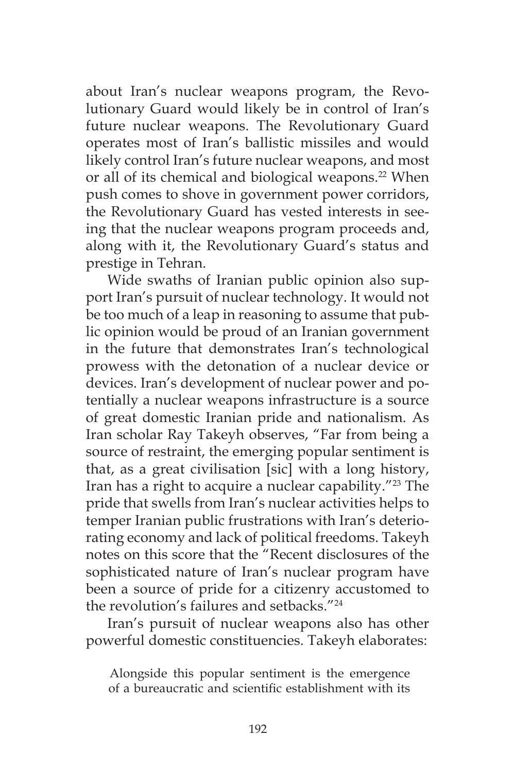about Iran's nuclear weapons program, the Revolutionary Guard would likely be in control of Iran's future nuclear weapons. The Revolutionary Guard operates most of Iran's ballistic missiles and would likely control Iran's future nuclear weapons, and most or all of its chemical and biological weapons.<sup>22</sup> When push comes to shove in government power corridors, the Revolutionary Guard has vested interests in seeing that the nuclear weapons program proceeds and, along with it, the Revolutionary Guard's status and prestige in Tehran.

Wide swaths of Iranian public opinion also support Iran's pursuit of nuclear technology. It would not be too much of a leap in reasoning to assume that public opinion would be proud of an Iranian government in the future that demonstrates Iran's technological prowess with the detonation of a nuclear device or devices. Iran's development of nuclear power and potentially a nuclear weapons infrastructure is a source of great domestic Iranian pride and nationalism. As Iran scholar Ray Takeyh observes, "Far from being a source of restraint, the emerging popular sentiment is that, as a great civilisation [sic] with a long history, Iran has a right to acquire a nuclear capability."23 The pride that swells from Iran's nuclear activities helps to temper Iranian public frustrations with Iran's deteriorating economy and lack of political freedoms. Takeyh notes on this score that the "Recent disclosures of the sophisticated nature of Iran's nuclear program have been a source of pride for a citizenry accustomed to the revolution's failures and setbacks."24

Iran's pursuit of nuclear weapons also has other powerful domestic constituencies. Takeyh elaborates:

Alongside this popular sentiment is the emergence of a bureaucratic and scientific establishment with its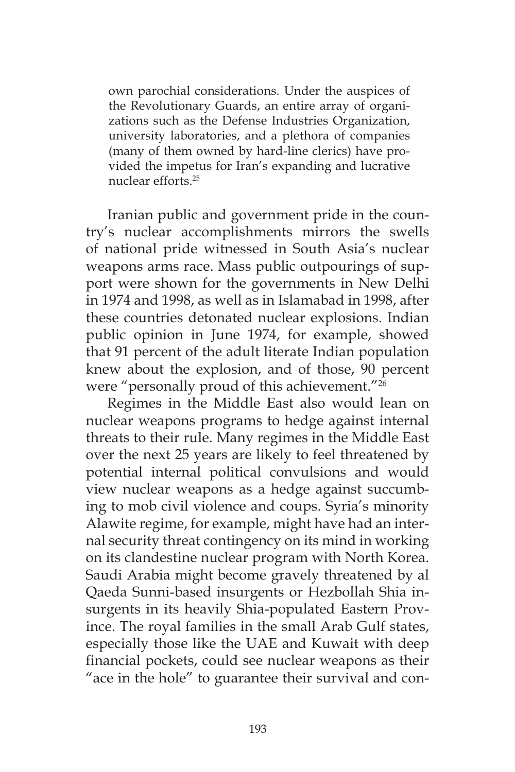own parochial considerations. Under the auspices of the Revolutionary Guards, an entire array of organizations such as the Defense Industries Organization, university laboratories, and a plethora of companies (many of them owned by hard-line clerics) have provided the impetus for Iran's expanding and lucrative nuclear efforts.25

Iranian public and government pride in the country's nuclear accomplishments mirrors the swells of national pride witnessed in South Asia's nuclear weapons arms race. Mass public outpourings of support were shown for the governments in New Delhi in 1974 and 1998, as well as in Islamabad in 1998, after these countries detonated nuclear explosions. Indian public opinion in June 1974, for example, showed that 91 percent of the adult literate Indian population knew about the explosion, and of those, 90 percent were "personally proud of this achievement."26

Regimes in the Middle East also would lean on nuclear weapons programs to hedge against internal threats to their rule. Many regimes in the Middle East over the next 25 years are likely to feel threatened by potential internal political convulsions and would view nuclear weapons as a hedge against succumbing to mob civil violence and coups. Syria's minority Alawite regime, for example, might have had an internal security threat contingency on its mind in working on its clandestine nuclear program with North Korea. Saudi Arabia might become gravely threatened by al Qaeda Sunni-based insurgents or Hezbollah Shia insurgents in its heavily Shia-populated Eastern Province. The royal families in the small Arab Gulf states, especially those like the UAE and Kuwait with deep financial pockets, could see nuclear weapons as their "ace in the hole" to guarantee their survival and con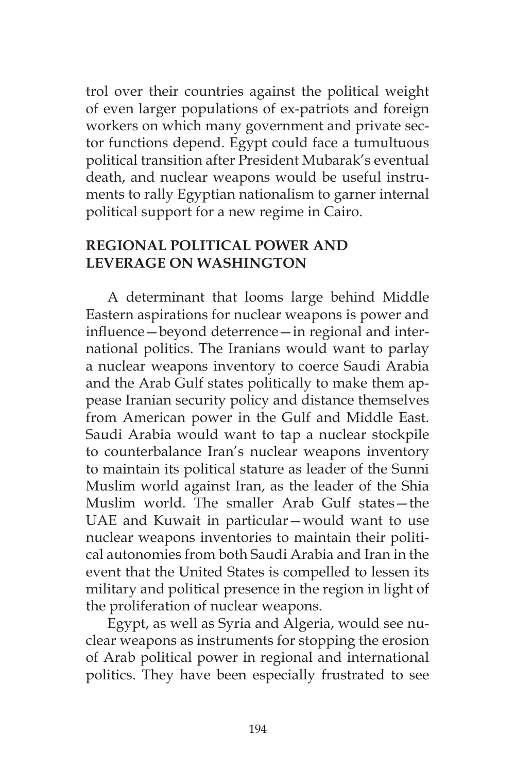trol over their countries against the political weight of even larger populations of ex-patriots and foreign workers on which many government and private sector functions depend. Egypt could face a tumultuous political transition after President Mubarak's eventual death, and nuclear weapons would be useful instruments to rally Egyptian nationalism to garner internal political support for a new regime in Cairo.

# **REGIONAL POLITICAL POWER AND LEVERAGE ON WASHINGTON**

A determinant that looms large behind Middle Eastern aspirations for nuclear weapons is power and influence—beyond deterrence—in regional and international politics. The Iranians would want to parlay a nuclear weapons inventory to coerce Saudi Arabia and the Arab Gulf states politically to make them appease Iranian security policy and distance themselves from American power in the Gulf and Middle East. Saudi Arabia would want to tap a nuclear stockpile to counterbalance Iran's nuclear weapons inventory to maintain its political stature as leader of the Sunni Muslim world against Iran, as the leader of the Shia Muslim world. The smaller Arab Gulf states—the UAE and Kuwait in particular—would want to use nuclear weapons inventories to maintain their political autonomies from both Saudi Arabia and Iran in the event that the United States is compelled to lessen its military and political presence in the region in light of the proliferation of nuclear weapons.

Egypt, as well as Syria and Algeria, would see nuclear weapons as instruments for stopping the erosion of Arab political power in regional and international politics. They have been especially frustrated to see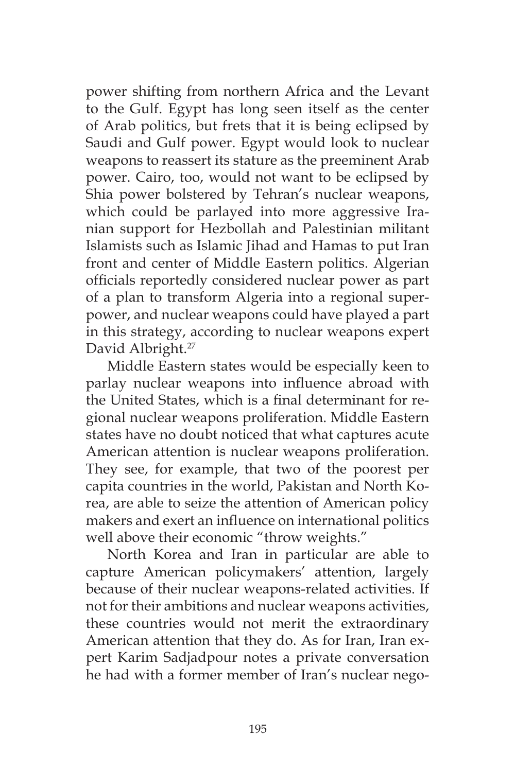power shifting from northern Africa and the Levant to the Gulf. Egypt has long seen itself as the center of Arab politics, but frets that it is being eclipsed by Saudi and Gulf power. Egypt would look to nuclear weapons to reassert its stature as the preeminent Arab power. Cairo, too, would not want to be eclipsed by Shia power bolstered by Tehran's nuclear weapons, which could be parlayed into more aggressive Iranian support for Hezbollah and Palestinian militant Islamists such as Islamic Jihad and Hamas to put Iran front and center of Middle Eastern politics. Algerian officials reportedly considered nuclear power as part of a plan to transform Algeria into a regional superpower, and nuclear weapons could have played a part in this strategy, according to nuclear weapons expert David Albright.<sup>27</sup>

Middle Eastern states would be especially keen to parlay nuclear weapons into influence abroad with the United States, which is a final determinant for regional nuclear weapons proliferation. Middle Eastern states have no doubt noticed that what captures acute American attention is nuclear weapons proliferation. They see, for example, that two of the poorest per capita countries in the world, Pakistan and North Korea, are able to seize the attention of American policy makers and exert an influence on international politics well above their economic "throw weights."

North Korea and Iran in particular are able to capture American policymakers' attention, largely because of their nuclear weapons-related activities. If not for their ambitions and nuclear weapons activities, these countries would not merit the extraordinary American attention that they do. As for Iran, Iran expert Karim Sadjadpour notes a private conversation he had with a former member of Iran's nuclear nego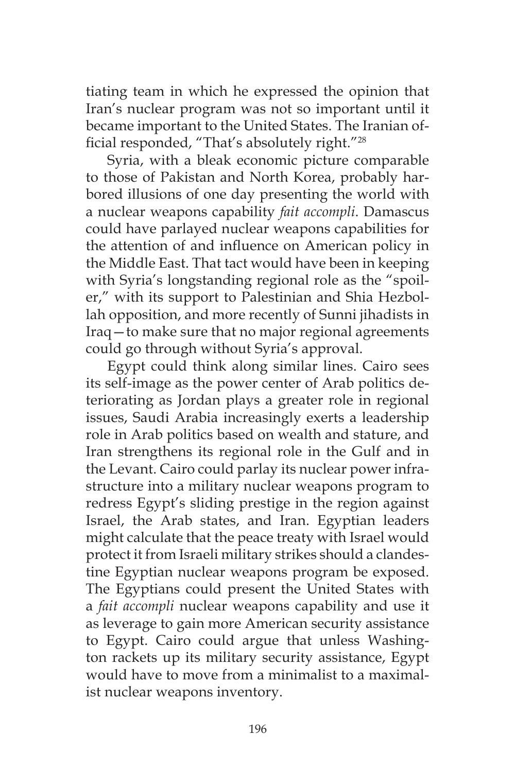tiating team in which he expressed the opinion that Iran's nuclear program was not so important until it became important to the United States. The Iranian official responded, "That's absolutely right."28

Syria, with a bleak economic picture comparable to those of Pakistan and North Korea, probably harbored illusions of one day presenting the world with a nuclear weapons capability *fait accompli*. Damascus could have parlayed nuclear weapons capabilities for the attention of and influence on American policy in the Middle East. That tact would have been in keeping with Syria's longstanding regional role as the "spoiler," with its support to Palestinian and Shia Hezbollah opposition, and more recently of Sunni jihadists in Iraq—to make sure that no major regional agreements could go through without Syria's approval.

Egypt could think along similar lines. Cairo sees its self-image as the power center of Arab politics deteriorating as Jordan plays a greater role in regional issues, Saudi Arabia increasingly exerts a leadership role in Arab politics based on wealth and stature, and Iran strengthens its regional role in the Gulf and in the Levant. Cairo could parlay its nuclear power infrastructure into a military nuclear weapons program to redress Egypt's sliding prestige in the region against Israel, the Arab states, and Iran. Egyptian leaders might calculate that the peace treaty with Israel would protect it from Israeli military strikes should a clandestine Egyptian nuclear weapons program be exposed. The Egyptians could present the United States with a *fait accompli* nuclear weapons capability and use it as leverage to gain more American security assistance to Egypt. Cairo could argue that unless Washington rackets up its military security assistance, Egypt would have to move from a minimalist to a maximalist nuclear weapons inventory.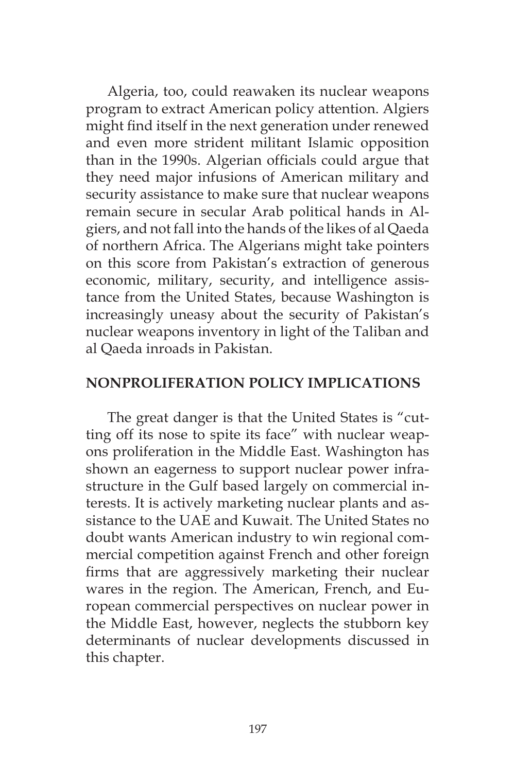Algeria, too, could reawaken its nuclear weapons program to extract American policy attention. Algiers might find itself in the next generation under renewed and even more strident militant Islamic opposition than in the 1990s. Algerian officials could argue that they need major infusions of American military and security assistance to make sure that nuclear weapons remain secure in secular Arab political hands in Algiers, and not fall into the hands of the likes of al Qaeda of northern Africa. The Algerians might take pointers on this score from Pakistan's extraction of generous economic, military, security, and intelligence assistance from the United States, because Washington is increasingly uneasy about the security of Pakistan's nuclear weapons inventory in light of the Taliban and al Qaeda inroads in Pakistan.

## **NONPROLIFERATION POLICY IMPLICATIONS**

The great danger is that the United States is "cutting off its nose to spite its face" with nuclear weapons proliferation in the Middle East. Washington has shown an eagerness to support nuclear power infrastructure in the Gulf based largely on commercial interests. It is actively marketing nuclear plants and assistance to the UAE and Kuwait. The United States no doubt wants American industry to win regional commercial competition against French and other foreign firms that are aggressively marketing their nuclear wares in the region. The American, French, and European commercial perspectives on nuclear power in the Middle East, however, neglects the stubborn key determinants of nuclear developments discussed in this chapter.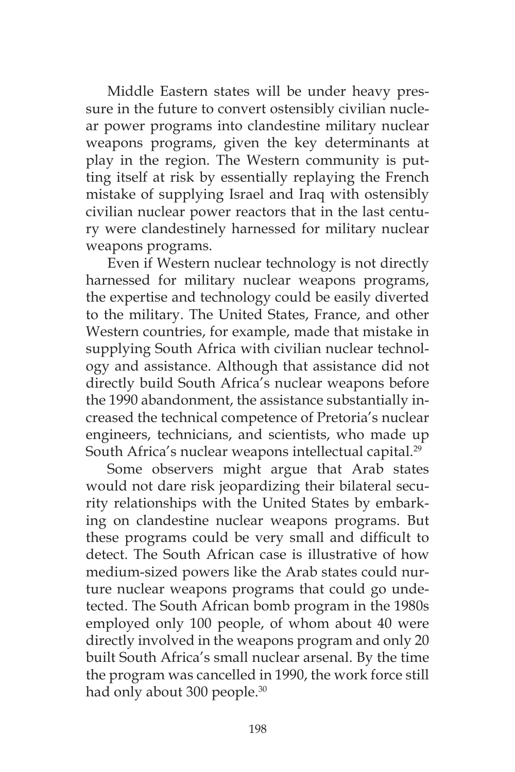Middle Eastern states will be under heavy pressure in the future to convert ostensibly civilian nuclear power programs into clandestine military nuclear weapons programs, given the key determinants at play in the region. The Western community is putting itself at risk by essentially replaying the French mistake of supplying Israel and Iraq with ostensibly civilian nuclear power reactors that in the last century were clandestinely harnessed for military nuclear weapons programs.

Even if Western nuclear technology is not directly harnessed for military nuclear weapons programs, the expertise and technology could be easily diverted to the military. The United States, France, and other Western countries, for example, made that mistake in supplying South Africa with civilian nuclear technology and assistance. Although that assistance did not directly build South Africa's nuclear weapons before the 1990 abandonment, the assistance substantially increased the technical competence of Pretoria's nuclear engineers, technicians, and scientists, who made up South Africa's nuclear weapons intellectual capital.<sup>29</sup>

Some observers might argue that Arab states would not dare risk jeopardizing their bilateral security relationships with the United States by embarking on clandestine nuclear weapons programs. But these programs could be very small and difficult to detect. The South African case is illustrative of how medium-sized powers like the Arab states could nurture nuclear weapons programs that could go undetected. The South African bomb program in the 1980s employed only 100 people, of whom about 40 were directly involved in the weapons program and only 20 built South Africa's small nuclear arsenal. By the time the program was cancelled in 1990, the work force still had only about 300 people.<sup>30</sup>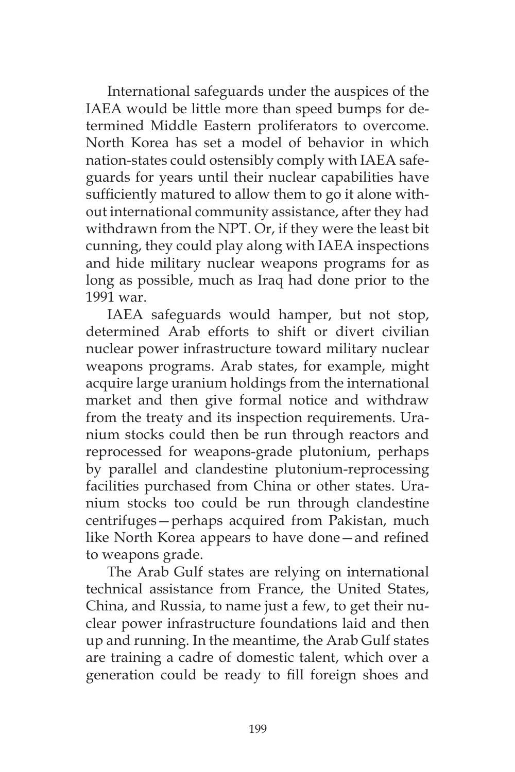International safeguards under the auspices of the IAEA would be little more than speed bumps for determined Middle Eastern proliferators to overcome. North Korea has set a model of behavior in which nation-states could ostensibly comply with IAEA safeguards for years until their nuclear capabilities have sufficiently matured to allow them to go it alone without international community assistance, after they had withdrawn from the NPT. Or, if they were the least bit cunning, they could play along with IAEA inspections and hide military nuclear weapons programs for as long as possible, much as Iraq had done prior to the 1991 war.

IAEA safeguards would hamper, but not stop, determined Arab efforts to shift or divert civilian nuclear power infrastructure toward military nuclear weapons programs. Arab states, for example, might acquire large uranium holdings from the international market and then give formal notice and withdraw from the treaty and its inspection requirements. Uranium stocks could then be run through reactors and reprocessed for weapons-grade plutonium, perhaps by parallel and clandestine plutonium-reprocessing facilities purchased from China or other states. Uranium stocks too could be run through clandestine centrifuges—perhaps acquired from Pakistan, much like North Korea appears to have done—and refined to weapons grade.

The Arab Gulf states are relying on international technical assistance from France, the United States, China, and Russia, to name just a few, to get their nuclear power infrastructure foundations laid and then up and running. In the meantime, the Arab Gulf states are training a cadre of domestic talent, which over a generation could be ready to fill foreign shoes and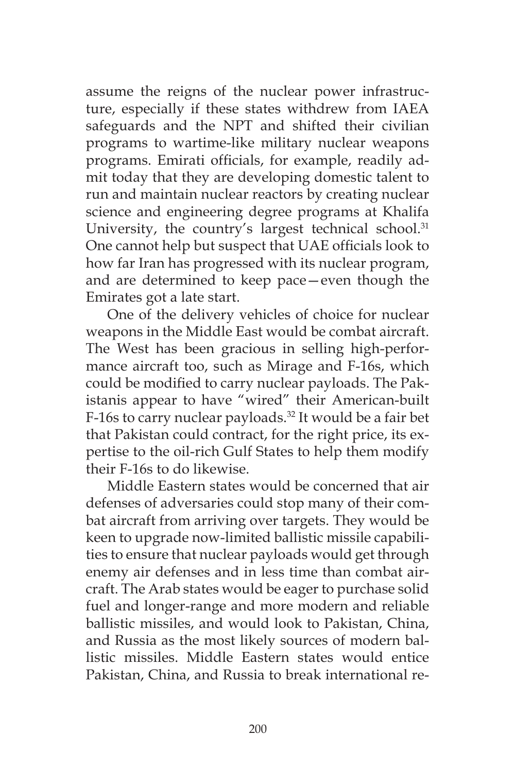assume the reigns of the nuclear power infrastructure, especially if these states withdrew from IAEA safeguards and the NPT and shifted their civilian programs to wartime-like military nuclear weapons programs. Emirati officials, for example, readily admit today that they are developing domestic talent to run and maintain nuclear reactors by creating nuclear science and engineering degree programs at Khalifa University, the country's largest technical school.<sup>31</sup> One cannot help but suspect that UAE officials look to how far Iran has progressed with its nuclear program, and are determined to keep pace—even though the Emirates got a late start.

One of the delivery vehicles of choice for nuclear weapons in the Middle East would be combat aircraft. The West has been gracious in selling high-performance aircraft too, such as Mirage and F-16s, which could be modified to carry nuclear payloads. The Pakistanis appear to have "wired" their American-built F-16s to carry nuclear payloads.<sup>32</sup> It would be a fair bet that Pakistan could contract, for the right price, its expertise to the oil-rich Gulf States to help them modify their F-16s to do likewise.

Middle Eastern states would be concerned that air defenses of adversaries could stop many of their combat aircraft from arriving over targets. They would be keen to upgrade now-limited ballistic missile capabilities to ensure that nuclear payloads would get through enemy air defenses and in less time than combat aircraft. The Arab states would be eager to purchase solid fuel and longer-range and more modern and reliable ballistic missiles, and would look to Pakistan, China, and Russia as the most likely sources of modern ballistic missiles. Middle Eastern states would entice Pakistan, China, and Russia to break international re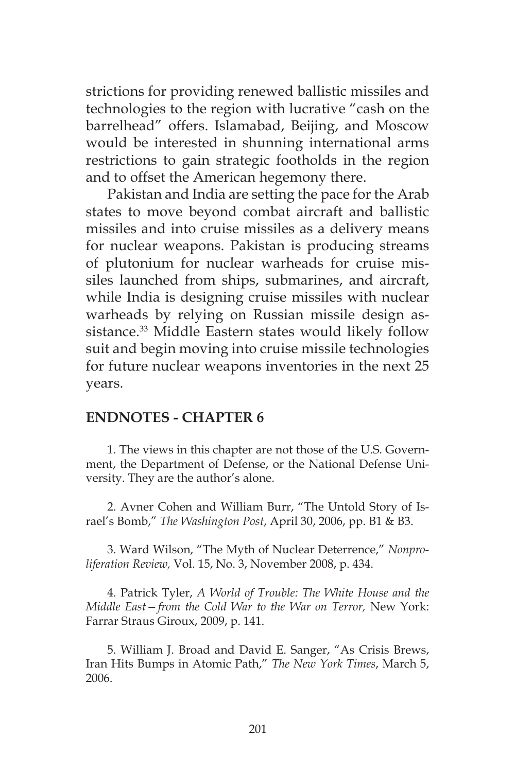strictions for providing renewed ballistic missiles and technologies to the region with lucrative "cash on the barrelhead" offers. Islamabad, Beijing, and Moscow would be interested in shunning international arms restrictions to gain strategic footholds in the region and to offset the American hegemony there.

Pakistan and India are setting the pace for the Arab states to move beyond combat aircraft and ballistic missiles and into cruise missiles as a delivery means for nuclear weapons. Pakistan is producing streams of plutonium for nuclear warheads for cruise missiles launched from ships, submarines, and aircraft, while India is designing cruise missiles with nuclear warheads by relying on Russian missile design assistance.<sup>33</sup> Middle Eastern states would likely follow suit and begin moving into cruise missile technologies for future nuclear weapons inventories in the next 25 years.

#### **ENDNOTES - CHAPTER 6**

1. The views in this chapter are not those of the U.S. Government, the Department of Defense, or the National Defense University. They are the author's alone.

2. Avner Cohen and William Burr, "The Untold Story of Israel's Bomb," *The Washington Post*, April 30, 2006, pp. B1 & B3.

3. Ward Wilson, "The Myth of Nuclear Deterrence," *Nonproliferation Review,* Vol. 15, No. 3, November 2008, p. 434.

4. Patrick Tyler, *A World of Trouble: The White House and the Middle East—from the Cold War to the War on Terror,* New York: Farrar Straus Giroux, 2009, p. 141.

5. William J. Broad and David E. Sanger, "As Crisis Brews, Iran Hits Bumps in Atomic Path," *The New York Times*, March 5, 2006.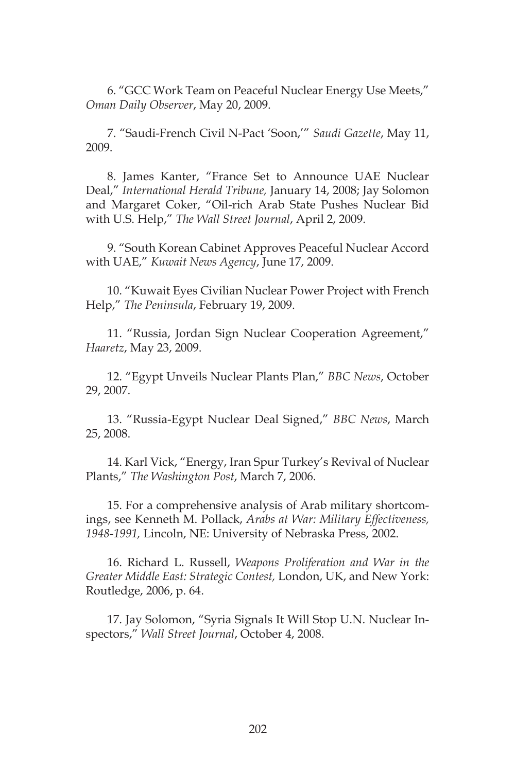6. "GCC Work Team on Peaceful Nuclear Energy Use Meets," *Oman Daily Observer*, May 20, 2009.

7. "Saudi-French Civil N-Pact 'Soon,'" *Saudi Gazette*, May 11, 2009.

8. James Kanter, "France Set to Announce UAE Nuclear Deal," *International Herald Tribune,* January 14, 2008; Jay Solomon and Margaret Coker, "Oil-rich Arab State Pushes Nuclear Bid with U.S. Help," *The Wall Street Journal*, April 2, 2009.

9. "South Korean Cabinet Approves Peaceful Nuclear Accord with UAE," *Kuwait News Agency*, June 17, 2009.

10. "Kuwait Eyes Civilian Nuclear Power Project with French Help," *The Peninsula*, February 19, 2009.

11. "Russia, Jordan Sign Nuclear Cooperation Agreement," *Haaretz*, May 23, 2009.

12. "Egypt Unveils Nuclear Plants Plan," *BBC News*, October 29, 2007.

13. "Russia-Egypt Nuclear Deal Signed," *BBC News*, March 25, 2008.

14. Karl Vick, "Energy, Iran Spur Turkey's Revival of Nuclear Plants," *The Washington Post*, March 7, 2006.

15. For a comprehensive analysis of Arab military shortcomings, see Kenneth M. Pollack, *Arabs at War: Military Effectiveness, 1948-1991,* Lincoln, NE: University of Nebraska Press, 2002.

16. Richard L. Russell, *Weapons Proliferation and War in the Greater Middle East: Strategic Contest,* London, UK, and New York: Routledge, 2006, p. 64.

17. Jay Solomon, "Syria Signals It Will Stop U.N. Nuclear Inspectors," *Wall Street Journal*, October 4, 2008.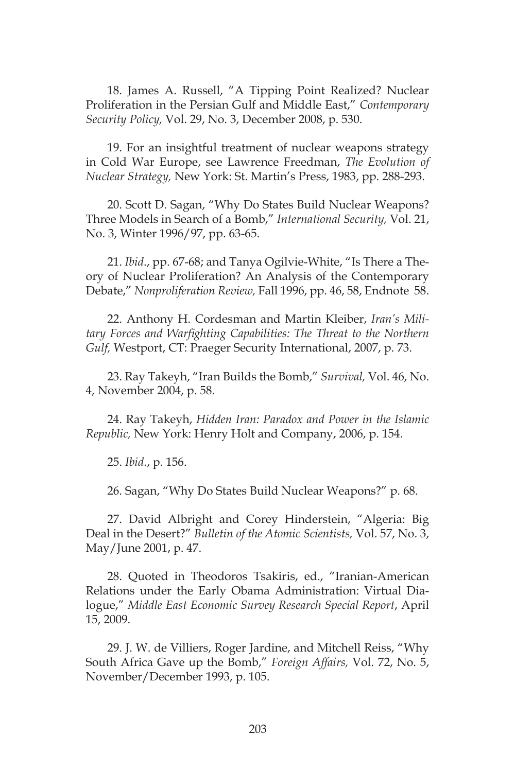18. James A. Russell, "A Tipping Point Realized? Nuclear Proliferation in the Persian Gulf and Middle East," *Contemporary Security Policy,* Vol. 29, No. 3, December 2008, p. 530.

19. For an insightful treatment of nuclear weapons strategy in Cold War Europe, see Lawrence Freedman, *The Evolution of Nuclear Strategy,* New York: St. Martin's Press, 1983, pp. 288-293.

20. Scott D. Sagan, "Why Do States Build Nuclear Weapons? Three Models in Search of a Bomb," *International Security,* Vol. 21, No. 3, Winter 1996/97, pp. 63-65.

21. *Ibid*., pp. 67-68; and Tanya Ogilvie-White, "Is There a Theory of Nuclear Proliferation? An Analysis of the Contemporary Debate," *Nonproliferation Review,* Fall 1996, pp. 46, 58, Endnote 58.

22. Anthony H. Cordesman and Martin Kleiber, *Iran's Military Forces and Warfighting Capabilities: The Threat to the Northern Gulf,* Westport, CT: Praeger Security International, 2007, p. 73.

23. Ray Takeyh, "Iran Builds the Bomb," *Survival,* Vol. 46, No. 4, November 2004, p. 58.

24. Ray Takeyh, *Hidden Iran: Paradox and Power in the Islamic Republic,* New York: Henry Holt and Company, 2006, p. 154.

25. *Ibid*., p. 156.

26. Sagan, "Why Do States Build Nuclear Weapons?" p. 68.

27. David Albright and Corey Hinderstein, "Algeria: Big Deal in the Desert?" *Bulletin of the Atomic Scientists,* Vol. 57, No. 3, May/June 2001, p. 47.

28. Quoted in Theodoros Tsakiris, ed., "Iranian-American Relations under the Early Obama Administration: Virtual Dialogue," *Middle East Economic Survey Research Special Report*, April 15, 2009.

29. J. W. de Villiers, Roger Jardine, and Mitchell Reiss, "Why South Africa Gave up the Bomb," *Foreign Affairs,* Vol. 72, No. 5, November/December 1993, p. 105.